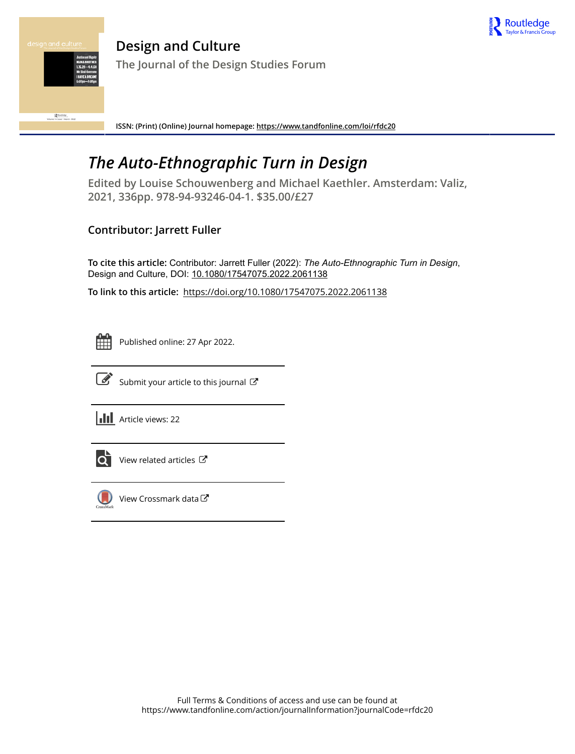

R Routledge<br>Marrie 14 Sourt 1 March 202

**Design and Culture The Journal of the Design Studies Forum**

**ISSN: (Print) (Online) Journal homepage:<https://www.tandfonline.com/loi/rfdc20>**

## *The Auto-Ethnographic Turn in Design*

**Edited by Louise Schouwenberg and Michael Kaethler. Amsterdam: Valiz, 2021, 336pp. 978-94-93246-04-1. \$35.00/£27**

### **Contributor: Jarrett Fuller**

To cite this article: Contributor: Jarrett Fuller (2022): *The Auto-Ethnographic Turn in Design*, Design and Culture, DOI: [10.1080/17547075.2022.2061138](https://www.tandfonline.com/action/showCitFormats?doi=10.1080/17547075.2022.2061138)

**To link to this article:** <https://doi.org/10.1080/17547075.2022.2061138>



Published online: 27 Apr 2022.



 $\mathbb{Z}$  [Submit your article to this journal](https://www.tandfonline.com/action/authorSubmission?journalCode=rfdc20&show=instructions)  $\mathbb{Z}$ 

**Article views: 22** 



 $\overrightarrow{O}$  [View related articles](https://www.tandfonline.com/doi/mlt/10.1080/17547075.2022.2061138)  $\overrightarrow{C}$ 



[View Crossmark data](http://crossmark.crossref.org/dialog/?doi=10.1080/17547075.2022.2061138&domain=pdf&date_stamp=2022-04-27)<sup>√</sup>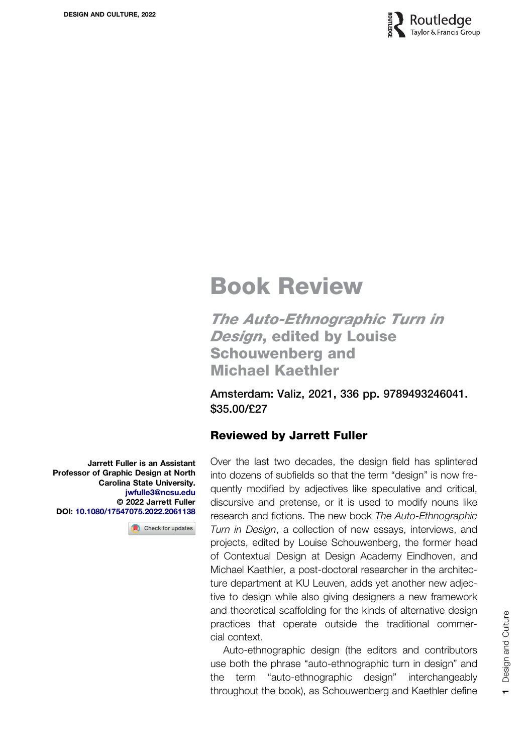

# Book Review

The Auto-Ethnographic Turn in **Design, edited by Louise** Schouwenberg and Michael Kaethler

Amsterdam: Valiz, 2021, 336 pp. 9789493246041. \$35.00/£27

#### Reviewed by Jarrett Fuller

Over the last two decades, the design field has splintered into dozens of subfields so that the term "design" is now frequently modified by adjectives like speculative and critical, discursive and pretense, or it is used to modify nouns like research and fictions. The new book The Auto-Ethnographic Turn in Design, a collection of new essays, interviews, and projects, edited by Louise Schouwenberg, the former head of Contextual Design at Design Academy Eindhoven, and Michael Kaethler, a post-doctoral researcher in the architecture department at KU Leuven, adds yet another new adjective to design while also giving designers a new framework and theoretical scaffolding for the kinds of alternative design practices that operate outside the traditional commercial context.

Auto-ethnographic design (the editors and contributors use both the phrase "auto-ethnographic turn in design" and the term "auto-ethnographic design" interchangeably throughout the book), as Schouwenberg and Kaethler define

Jarrett Fuller is an Assistant Professor of Graphic Design at North Carolina State University. [jwfulle3@ncsu.edu](mailto:jwfulle3.edu) © 2022 Jarrett Fuller DOI: [10.1080/17547075.2022.2061138](https://doi.org/10.1080/17547075.2022.2061138)

Check for updates

 $\mathbf -$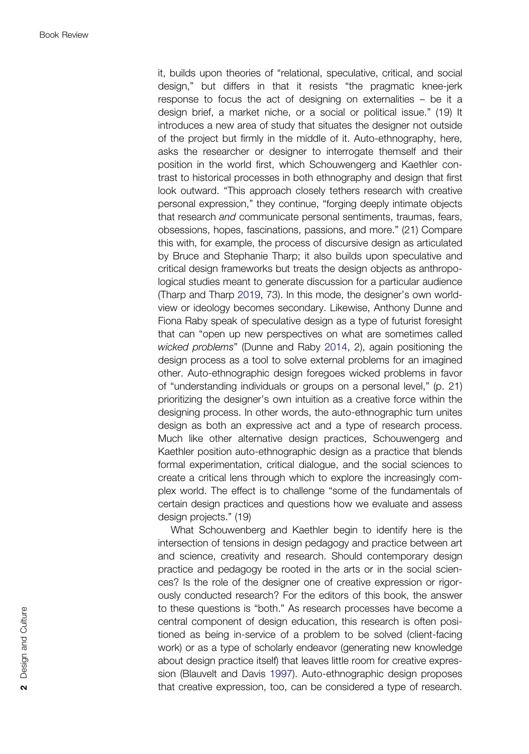<span id="page-2-0"></span>it, builds upon theories of "relational, speculative, critical, and social design," but differs in that it resists "the pragmatic knee-jerk response to focus the act of designing on externalities – be it a design brief, a market niche, or a social or political issue." (19) It introduces a new area of study that situates the designer not outside of the project but firmly in the middle of it. Auto-ethnography, here, asks the researcher or designer to interrogate themself and their position in the world first, which Schouwengerg and Kaethler contrast to historical processes in both ethnography and design that first look outward. "This approach closely tethers research with creative personal expression," they continue, "forging deeply intimate objects that research and communicate personal sentiments, traumas, fears, obsessions, hopes, fascinations, passions, and more." (21) Compare this with, for example, the process of discursive design as articulated by Bruce and Stephanie Tharp; it also builds upon speculative and critical design frameworks but treats the design objects as anthropological studies meant to generate discussion for a particular audience (Tharp and Tharp [2019,](#page-4-0) 73). In this mode, the designer's own worldview or ideology becomes secondary. Likewise, Anthony Dunne and Fiona Raby speak of speculative design as a type of futurist foresight that can "open up new perspectives on what are sometimes called wicked problems" (Dunne and Raby [2014,](#page-4-0) 2), again positioning the design process as a tool to solve external problems for an imagined other. Auto-ethnographic design foregoes wicked problems in favor of "understanding individuals or groups on a personal level," (p. 21) prioritizing the designer's own intuition as a creative force within the designing process. In other words, the auto-ethnographic turn unites design as both an expressive act and a type of research process. Much like other alternative design practices, Schouwengerg and Kaethler position auto-ethnographic design as a practice that blends formal experimentation, critical dialogue, and the social sciences to create a critical lens through which to explore the increasingly complex world. The effect is to challenge "some of the fundamentals of certain design practices and questions how we evaluate and assess design projects." (19)

What Schouwenberg and Kaethler begin to identify here is the intersection of tensions in design pedagogy and practice between art and science, creativity and research. Should contemporary design practice and pedagogy be rooted in the arts or in the social sciences? Is the role of the designer one of creative expression or rigorously conducted research? For the editors of this book, the answer to these questions is "both." As research processes have become a central component of design education, this research is often positioned as being in-service of a problem to be solved (client-facing work) or as a type of scholarly endeavor (generating new knowledge about design practice itself) that leaves little room for creative expression (Blauvelt and Davis [1997\)](#page-4-0). Auto-ethnographic design proposes that creative expression, too, can be considered a type of research.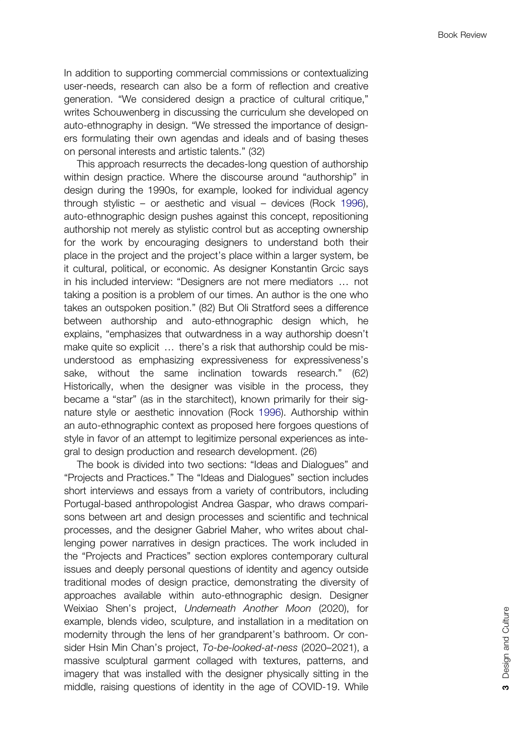<span id="page-3-0"></span>In addition to supporting commercial commissions or contextualizing user-needs, research can also be a form of reflection and creative generation. "We considered design a practice of cultural critique," writes Schouwenberg in discussing the curriculum she developed on auto-ethnography in design. "We stressed the importance of designers formulating their own agendas and ideals and of basing theses on personal interests and artistic talents." (32)

This approach resurrects the decades-long question of authorship within design practice. Where the discourse around "authorship" in design during the 1990s, for example, looked for individual agency through stylistic – or aesthetic and visual – devices (Rock [1996\)](#page-4-0), auto-ethnographic design pushes against this concept, repositioning authorship not merely as stylistic control but as accepting ownership for the work by encouraging designers to understand both their place in the project and the project's place within a larger system, be it cultural, political, or economic. As designer Konstantin Grcic says in his included interview: "Designers are not mere mediators … not taking a position is a problem of our times. An author is the one who takes an outspoken position." (82) But Oli Stratford sees a difference between authorship and auto-ethnographic design which, he explains, "emphasizes that outwardness in a way authorship doesn't make quite so explicit … there's a risk that authorship could be misunderstood as emphasizing expressiveness for expressiveness's sake, without the same inclination towards research." (62) Historically, when the designer was visible in the process, they became a "star" (as in the starchitect), known primarily for their signature style or aesthetic innovation (Rock [1996](#page-4-0)). Authorship within an auto-ethnographic context as proposed here forgoes questions of style in favor of an attempt to legitimize personal experiences as integral to design production and research development. (26)

The book is divided into two sections: "Ideas and Dialogues" and "Projects and Practices." The "Ideas and Dialogues" section includes short interviews and essays from a variety of contributors, including Portugal-based anthropologist Andrea Gaspar, who draws comparisons between art and design processes and scientific and technical processes, and the designer Gabriel Maher, who writes about challenging power narratives in design practices. The work included in the "Projects and Practices" section explores contemporary cultural issues and deeply personal questions of identity and agency outside traditional modes of design practice, demonstrating the diversity of approaches available within auto-ethnographic design. Designer Weixiao Shen's project, Underneath Another Moon (2020), for example, blends video, sculpture, and installation in a meditation on modernity through the lens of her grandparent's bathroom. Or consider Hsin Min Chan's project, To-be-looked-at-ness (2020–2021), a massive sculptural garment collaged with textures, patterns, and imagery that was installed with the designer physically sitting in the middle, raising questions of identity in the age of COVID-19. While